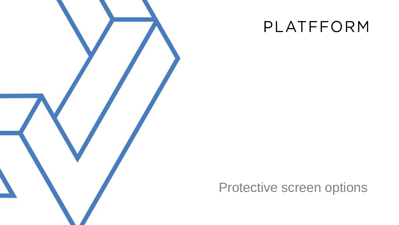

## PLATFFORM

## Protective screen options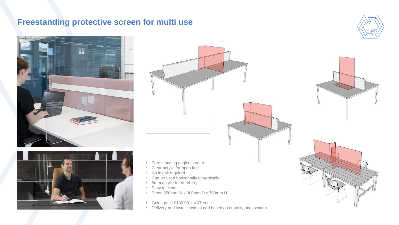#### **Freestanding protective screen for multi use**







- Free standing angled screen
- Clear acrylic for open feel
- No install required
- Can be used horizontally or vertically
- 5mm acrylic for durability
- Easy to clean
- Dims: 950mm W x 300mm D x 750mm H
- Guide price £130.00 + VAT each
- Delivery and install costs to add based on quantity and location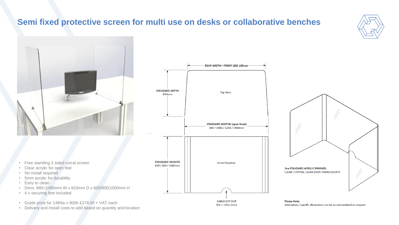### **Semi fixed protective screen for multi use on desks or collaborative benches**





- Free standing 3 sided corral screen
- Clear acrylic for open feel
- No install required
- 5mm acrylic for durability
- Easy to clean
- Dims: 880>1480mm W x 810mm D x 600/800/1000mm H
- 4 x securing feet included
- Guide price for 1480w x 800h £274.00 + VAT each
- Delivery and install costs to add based on quantity and location





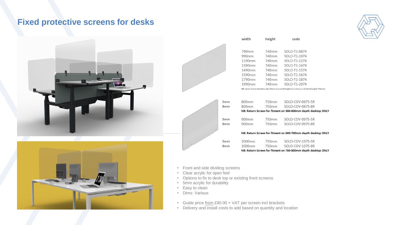#### **Fixed protective screens for desks**





|                 | width                                                                                       | height            | code             |
|-----------------|---------------------------------------------------------------------------------------------|-------------------|------------------|
|                 |                                                                                             |                   |                  |
|                 | 790mm                                                                                       | 740mm             | SOLO-T1-0874     |
|                 | 990mm                                                                                       | 740mm             | SOLO-T1-1074     |
|                 | 1190mm                                                                                      | 740 <sub>mm</sub> | SOLO-T1-1274     |
|                 | 1390mm                                                                                      | 740mm             | SOLO-T1-1474     |
|                 | 1490mm                                                                                      | 740mm             | SOLO-T1-1574     |
|                 | 1590mm                                                                                      | 740mm             | SOLO-T1-1674     |
|                 | 1790mm                                                                                      | 740mm             | SOLO-T1-1874     |
|                 | 1990mm                                                                                      | 740mm             | SOLO-T1-2074     |
|                 | NB: Spine Screen Brackets add 10mm to overall height of screen (i.e. finished height 750mm) |                   |                  |
|                 |                                                                                             |                   |                  |
| 5 <sub>mm</sub> | 800 <sub>mm</sub>                                                                           | 750mm             | SOLO-COV-0875-5R |
| 8 <sub>mm</sub> | 800 <sub>mm</sub>                                                                           | 750mm             | SOLO-COV-0875-8R |
|                 | NB: Return Screen for fitment on 580-600mm depth desktop ONLY                               |                   |                  |
| 5 <sub>mm</sub> | 900mm                                                                                       | 750mm             | SOLO-COV-0975-5R |
| 8 <sub>mm</sub> | 900mm                                                                                       | 750mm             | SOLO-COV-0975-8R |
|                 |                                                                                             |                   |                  |
|                 | NB: Return Screen for fitment on 680-700mm depth desktop ONLY                               |                   |                  |
| 5 <sub>mm</sub> | 1000mm                                                                                      | 750mm             | SOLO-COV-1075-5R |
| 8 <sub>mm</sub> | 1000mm                                                                                      | 750mm             | SOLO-COV-1075-8R |
|                 | NB: Return Screen for fitment on 780-800mm depth desktop ONLY                               |                   |                  |

- Front and side dividing screens
- Clear acrylic for open feel
- Options to fix to desk top or existing front screens
- 5mm acrylic for durability
- Easy to clean
- Dims: Various
- Guide price from £90.00 + VAT per screen incl brackets
- Delivery and install costs to add based on quantity and location

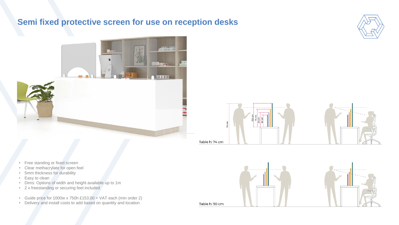#### **Semi fixed protective screen for use on reception desks**







- Free standing or fixed screen
- Clear methacrylate for open feel
- 5mm thickness for durability
- Easy to clean
- Dims: Options of width and height available up to 1m
- 2 x freestanding or securing feet included
- Guide price for 1000w x 750h £153.00 + VAT each (min order 2)
- Delivery and install costs to add based on quantity and location

Table h: 90 cm

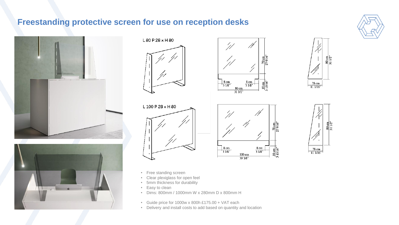### **Freestanding protective screen for use on reception desks**

















- Free standing screen
- Clear plexiglass for open feel
- 5mm thickness for durability
- Easy to clean
- Dims: 800mm / 1000mm W x 280mm D x 800mm H
- Guide price for 1000w x 800h £175.00 + VAT each
- Delivery and install costs to add based on quantity and location

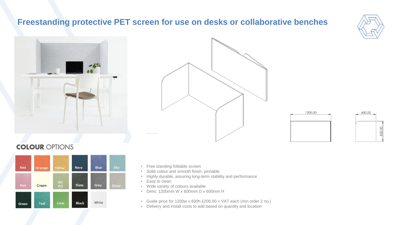#### **Freestanding protective PET screen for use on desks or collaborative benches**











#### **COLOUR OPTIONS**



- Free standing foldable screen
- Solid colour and smooth finish, pinnable
- Highly durable, assuring long-term stability and performance
- Easy to clean
- Wide variety of colours available
- Dims: 1200mm W x 600mm D x 600mm H
- Guide price for 1200w x 600h £200.00 + VAT each (min order 2 no.)
- Delivery and install costs to add based on quantity and location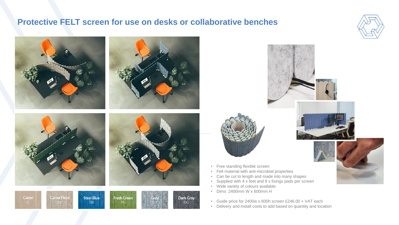#### **Protective FELT screen for use on desks or collaborative benches**











- Free standing flexible screen
- Felt material with anti-microbial properties
- Can be cut to length and made into many shapes
- Supplied with 4 x feet and 8 x fixings pads per screen
- Wide variety of colours available
- Dims: 2400mm W x 600mm H
- Guide price for 2400w x 600h screen £246.00 + VAT each
- Delivery and install costs to add based on quantity and location